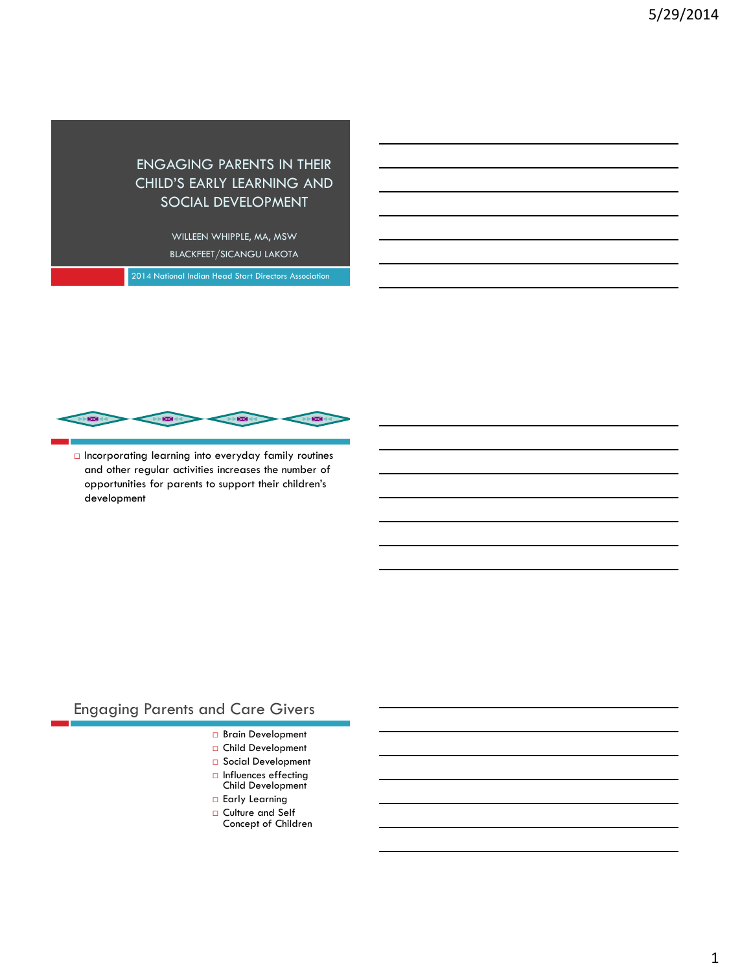#### ENGAGING PARENTS IN THEIR CHILD'S EARLY LEARNING AND SOCIAL DEVELOPMENT

WILLEEN WHIPPLE, MA, MSW BLACKFEET/SICANGU LAKOTA

2014 National Indian Head Start Directors Association



 $\Box$  Incorporating learning into everyday family routines and other regular activities increases the number of opportunities for parents to support their children's development

# Engaging Parents and Care Givers

- Brain Development
- □ Child Development
- □ Social Development
- □ Influences effecting<br>Child Development
- **Early Learning**
- □ Culture and Self Concept of Children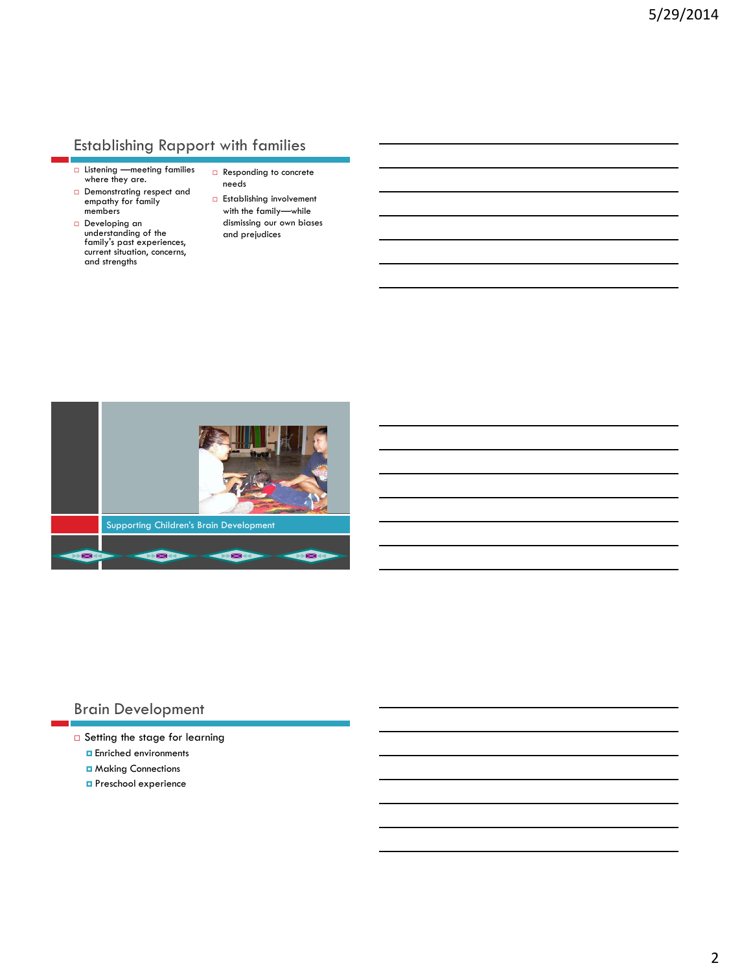## Establishing Rapport with families

- $\Box$  Listening —meeting families where they are.
- Demonstrating respect and empathy for family members
- Developing an understanding of the family's past experiences, current situation, concerns, and strengths
- Responding to concrete needs
- **Establishing involvement** with the family—while dismissing our own biases and prejudices



#### Brain Development

- □ Setting the stage for learning
	- **Enriched environments**
	- **D** Making Connections
	- **D** Preschool experience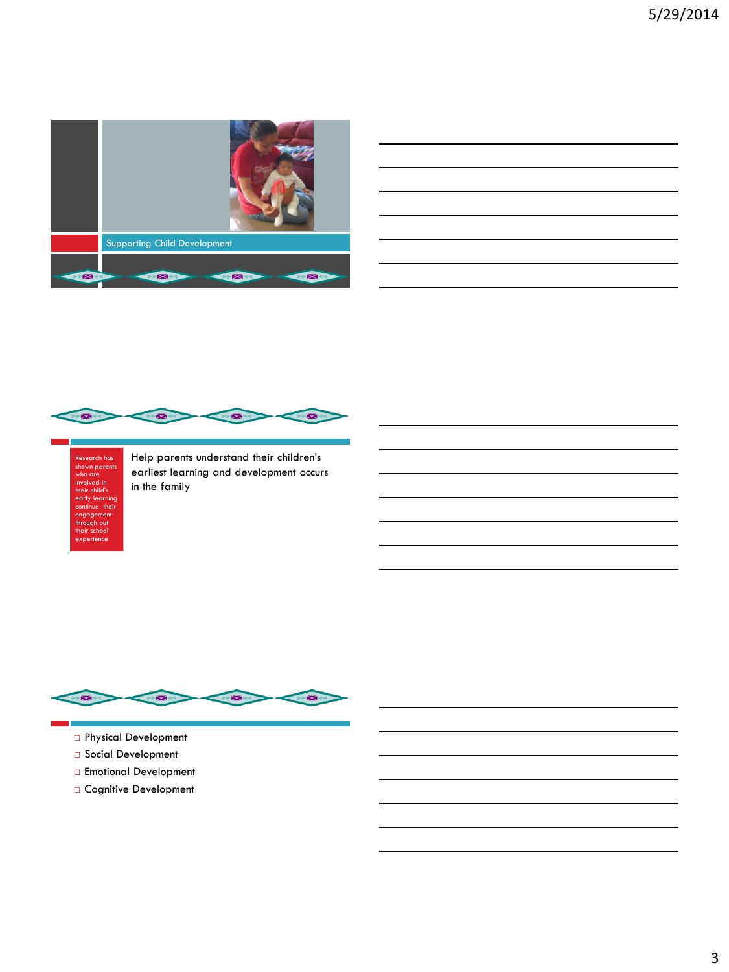

| <u> 1980 - An Dùbhlachd ann an Dùbhlachd ann an Dùbhlachd ann an Dùbhlachd ann an Dùbhlachd ann an Dùbhlachd ann </u>  |  | $\overline{\phantom{a}}$ |
|------------------------------------------------------------------------------------------------------------------------|--|--------------------------|
| <u> 1989 - Johann Stoff, deutscher Stoffen und der Stoffen und der Stoffen und der Stoffen und der Stoffen und der</u> |  |                          |
| <u> 1989 - Andrea San Andrea San Andrea San Andrea San Andrea San Andrea San Andrea San Andrea San Andrea San A</u>    |  |                          |
| <u> 1989 - Johann Barbara, martxa alemaniar argamento este alemaniar alemaniar alemaniar alemaniar alemaniar a</u>     |  |                          |
| <u> 1989 - Johann Harry Harry Harry Harry Harry Harry Harry Harry Harry Harry Harry Harry Harry Harry Harry Harry</u>  |  |                          |
|                                                                                                                        |  |                          |



Research has shown parents who are involved in their child's early learning continue their engagement through out their school experience

Help parents understand their children's earliest learning and development occurs in the family



- Physical Development
- Social Development
- Emotional Development
- Cognitive Development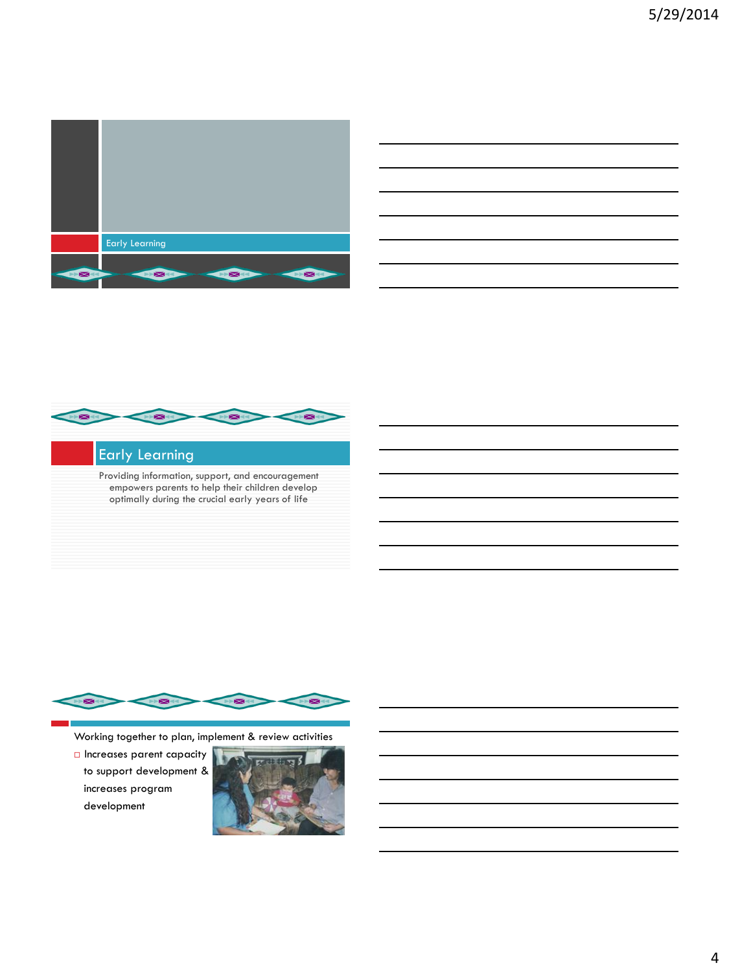





## Early Learning

Providing information, support, and encouragement empowers parents to help their children develop optimally during the crucial early years of life



Working together to plan, implement & review activities

 Increases parent capacity to support development & increases program development

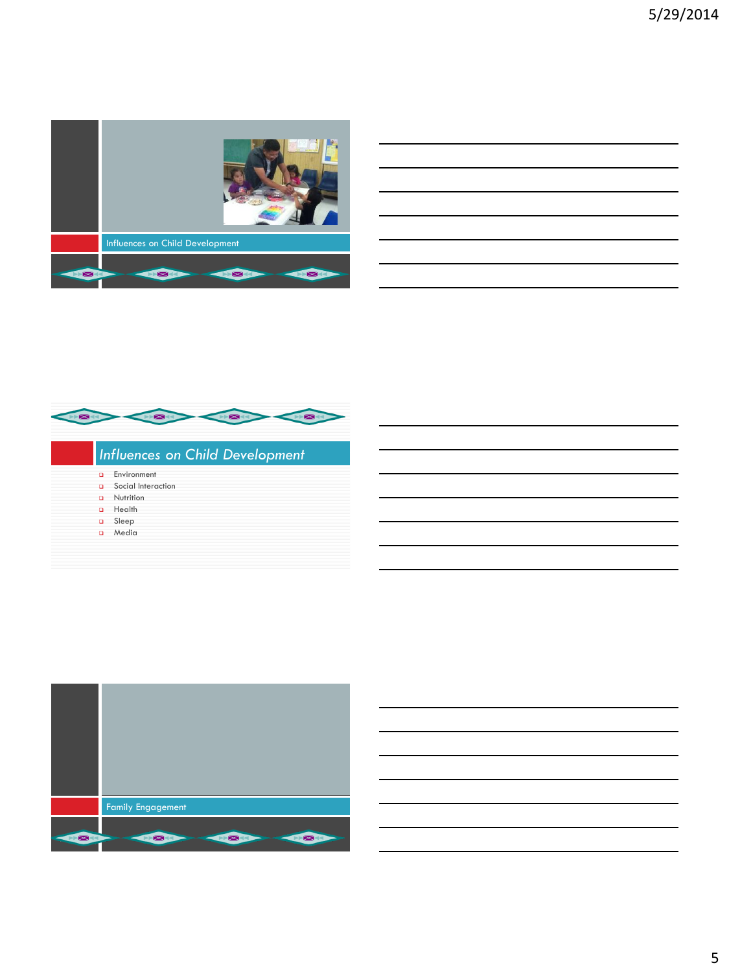

| Influences on Child Development |  |  |
|---------------------------------|--|--|
|                                 |  |  |

- **Environment**
- Social Interaction
- **Q** Nutrition
- a Health
- Sleep
- a Media

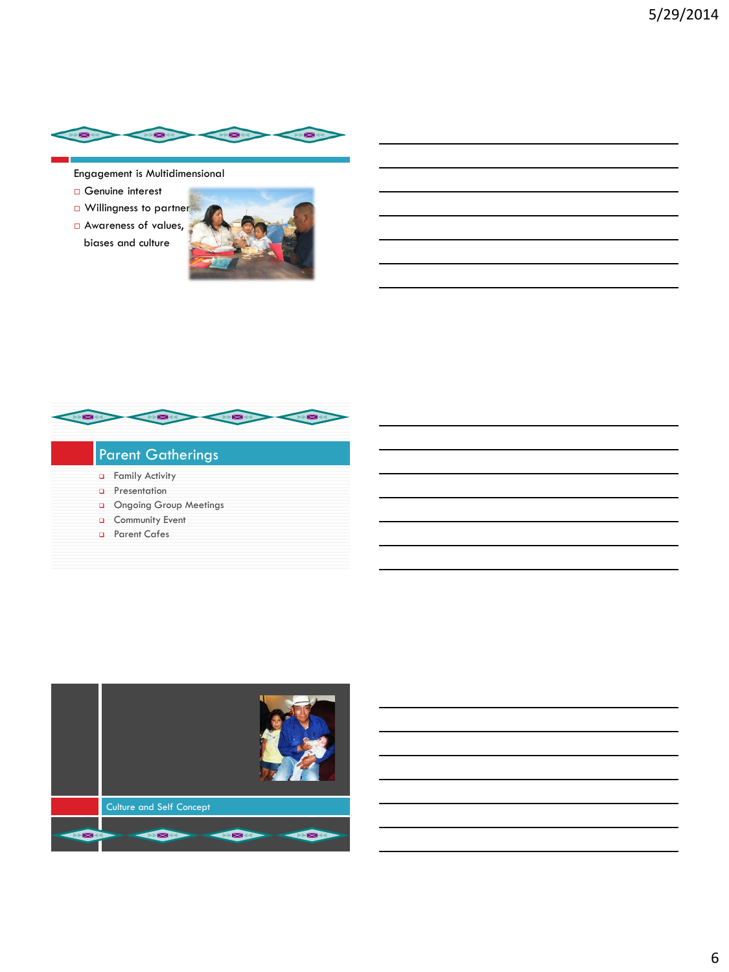

Engagement is Multidimensional

- Genuine interest
- **D** Willingness to partner
- Awareness of values, biases and culture





## Parent Gatherings

- **a** Family Activity
- **D** Presentation
- Ongoing Group Meetings
- **Q** Community Event
- **D** Parent Cafes

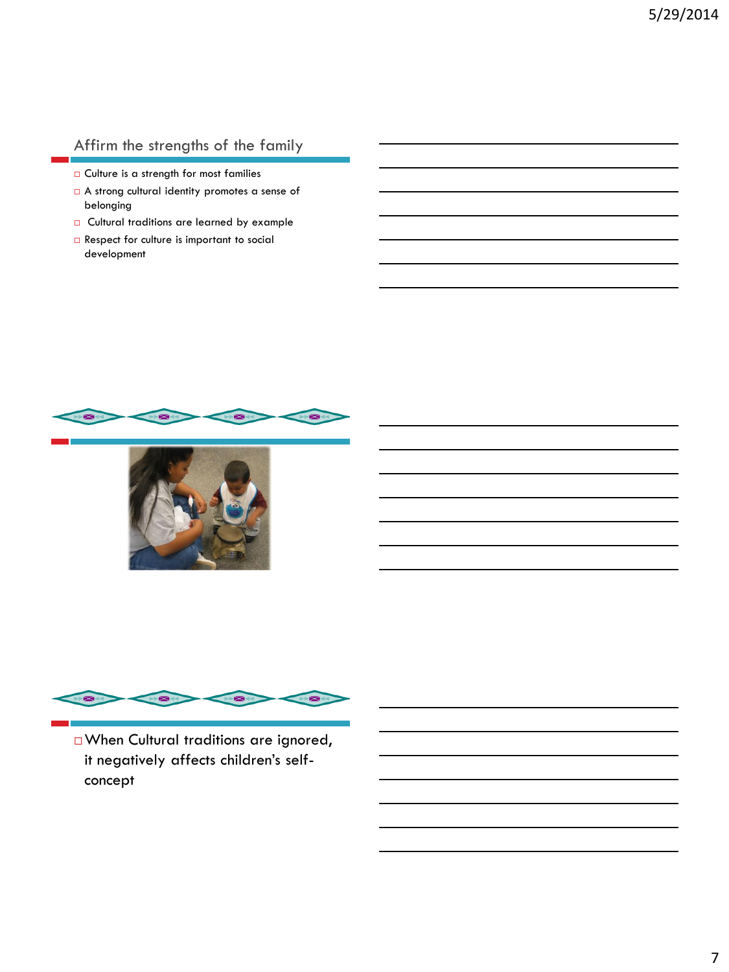## Affirm the strengths of the family

- Culture is a strength for most families
- A strong cultural identity promotes a sense of belonging
- Cultural traditions are learned by example
- □ Respect for culture is important to social development







When Cultural traditions are ignored, it negatively affects children's selfconcept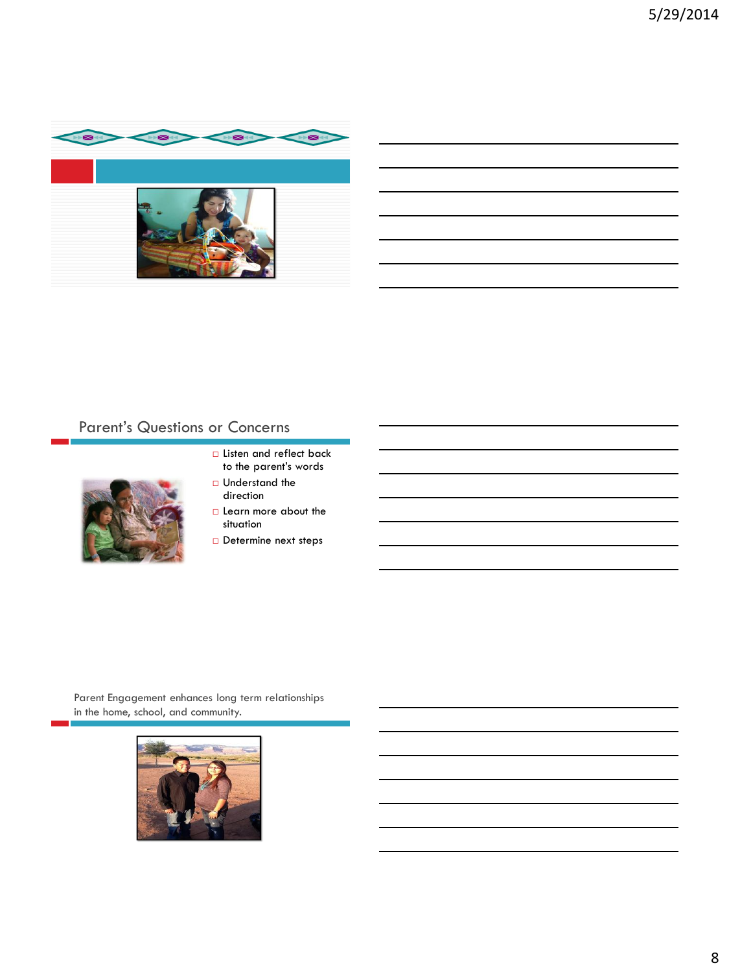

# Parent's Questions or Concerns



- **Listen and reflect back** to the parent's words
- $\Box$  Understand the direction
- $\square$  Learn more about the situation
- Determine next steps

Parent Engagement enhances long term relationships in the home, school, and community.